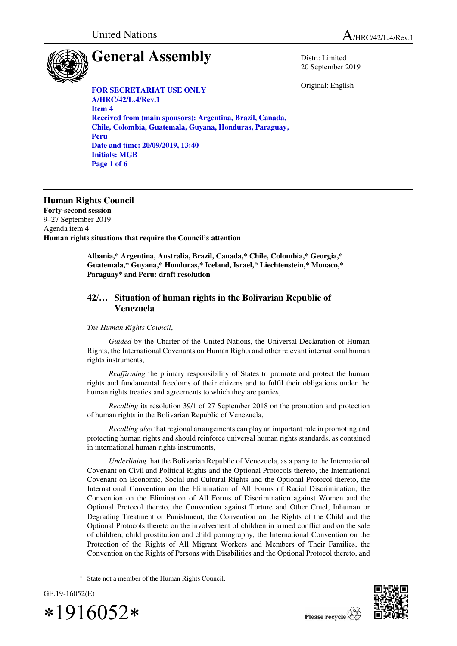United Nations  $A_{HRC/42/L.4/Rev.1}$ 

Distr.: Limited 20 September 2019

Original: English

# **General Assembly**

**FOR SECRETARIAT USE ONLY A/HRC/42/L.4/Rev.1 Item 4 Received from (main sponsors): Argentina, Brazil, Canada, Chile, Colombia, Guatemala, Guyana, Honduras, Paraguay, Peru Date and time: 20/09/2019, 13:40 Initials: MGB Page 1 of 6** 

## **Human Rights Council**

**Forty-second session**  9–27 September 2019 Agenda item 4 **Human rights situations that require the Council's attention** 

> **Albania,\* Argentina, Australia, Brazil, Canada,\* Chile, Colombia,\* Georgia,\* Guatemala,\* Guyana,\* Honduras,\* Iceland, Israel,\* Liechtenstein,\* Monaco,\* Paraguay\* and Peru: draft resolution**

### **42/… Situation of human rights in the Bolivarian Republic of Venezuela**

#### *The Human Rights Council*,

*Guided* by the Charter of the United Nations, the Universal Declaration of Human Rights, the International Covenants on Human Rights and other relevant international human rights instruments,

*Reaffirming* the primary responsibility of States to promote and protect the human rights and fundamental freedoms of their citizens and to fulfil their obligations under the human rights treaties and agreements to which they are parties,

*Recalling* its resolution 39/1 of 27 September 2018 on the promotion and protection of human rights in the Bolivarian Republic of Venezuela,

*Recalling also* that regional arrangements can play an important role in promoting and protecting human rights and should reinforce universal human rights standards, as contained in international human rights instruments,

*Underlining* that the Bolivarian Republic of Venezuela, as a party to the International Covenant on Civil and Political Rights and the Optional Protocols thereto, the International Covenant on Economic, Social and Cultural Rights and the Optional Protocol thereto, the International Convention on the Elimination of All Forms of Racial Discrimination, the Convention on the Elimination of All Forms of Discrimination against Women and the Optional Protocol thereto, the Convention against Torture and Other Cruel, Inhuman or Degrading Treatment or Punishment, the Convention on the Rights of the Child and the Optional Protocols thereto on the involvement of children in armed conflict and on the sale of children, child prostitution and child pornography, the International Convention on the Protection of the Rights of All Migrant Workers and Members of Their Families, the Convention on the Rights of Persons with Disabilities and the Optional Protocol thereto, and

<sup>\*</sup> State not a member of the Human Rights Council.



 $\overline{a}$ 

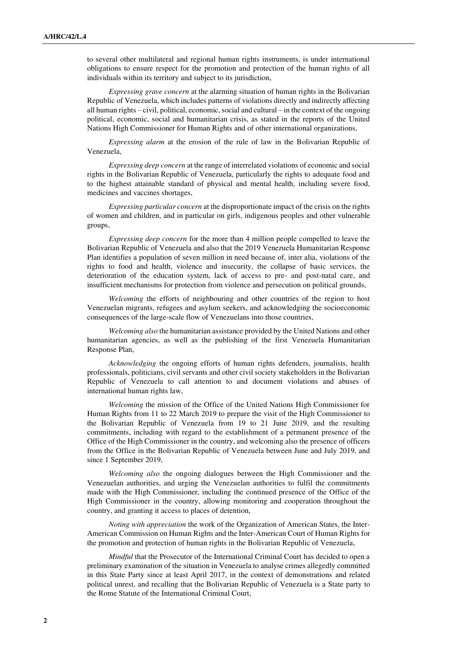to several other multilateral and regional human rights instruments, is under international obligations to ensure respect for the promotion and protection of the human rights of all individuals within its territory and subject to its jurisdiction,

*Expressing grave concern* at the alarming situation of human rights in the Bolivarian Republic of Venezuela, which includes patterns of violations directly and indirectly affecting all human rights – civil, political, economic, social and cultural – in the context of the ongoing political, economic, social and humanitarian crisis, as stated in the reports of the United Nations High Commissioner for Human Rights and of other international organizations,

*Expressing alarm* at the erosion of the rule of law in the Bolivarian Republic of Venezuela,

*Expressing deep concern* at the range of interrelated violations of economic and social rights in the Bolivarian Republic of Venezuela, particularly the rights to adequate food and to the highest attainable standard of physical and mental health, including severe food, medicines and vaccines shortages,

*Expressing particular concern* at the disproportionate impact of the crisis on the rights of women and children, and in particular on girls, indigenous peoples and other vulnerable groups,

*Expressing deep concern* for the more than 4 million people compelled to leave the Bolivarian Republic of Venezuela and also that the 2019 Venezuela Humanitarian Response Plan identifies a population of seven million in need because of, inter alia, violations of the rights to food and health, violence and insecurity, the collapse of basic services, the deterioration of the education system, lack of access to pre- and post-natal care, and insufficient mechanisms for protection from violence and persecution on political grounds,

*Welcoming* the efforts of neighbouring and other countries of the region to host Venezuelan migrants, refugees and asylum seekers, and acknowledging the socioeconomic consequences of the large-scale flow of Venezuelans into those countries,

*Welcoming also* the humanitarian assistance provided by the United Nations and other humanitarian agencies, as well as the publishing of the first Venezuela Humanitarian Response Plan,

*Acknowledging* the ongoing efforts of human rights defenders, journalists, health professionals, politicians, civil servants and other civil society stakeholders in the Bolivarian Republic of Venezuela to call attention to and document violations and abuses of international human rights law,

*Welcoming* the mission of the Office of the United Nations High Commissioner for Human Rights from 11 to 22 March 2019 to prepare the visit of the High Commissioner to the Bolivarian Republic of Venezuela from 19 to 21 June 2019, and the resulting commitments, including with regard to the establishment of a permanent presence of the Office of the High Commissioner in the country, and welcoming also the presence of officers from the Office in the Bolivarian Republic of Venezuela between June and July 2019, and since 1 September 2019,

*Welcoming also* the ongoing dialogues between the High Commissioner and the Venezuelan authorities, and urging the Venezuelan authorities to fulfil the commitments made with the High Commissioner, including the continued presence of the Office of the High Commissioner in the country, allowing monitoring and cooperation throughout the country, and granting it access to places of detention,

*Noting with appreciation* the work of the Organization of American States, the Inter-American Commission on Human Rights and the Inter-American Court of Human Rights for the promotion and protection of human rights in the Bolivarian Republic of Venezuela,

*Mindful* that the Prosecutor of the International Criminal Court has decided to open a preliminary examination of the situation in Venezuela to analyse crimes allegedly committed in this State Party since at least April 2017, in the context of demonstrations and related political unrest, and recalling that the Bolivarian Republic of Venezuela is a State party to the Rome Statute of the International Criminal Court,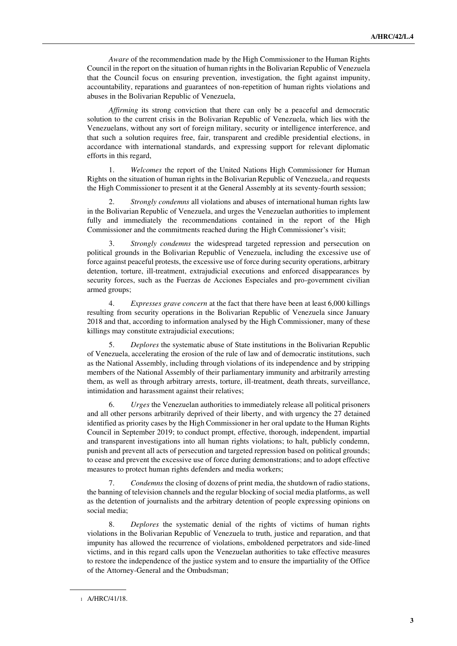*Aware* of the recommendation made by the High Commissioner to the Human Rights Council in the report on the situation of human rights in the Bolivarian Republic of Venezuela that the Council focus on ensuring prevention, investigation, the fight against impunity, accountability, reparations and guarantees of non-repetition of human rights violations and abuses in the Bolivarian Republic of Venezuela,

*Affirming* its strong conviction that there can only be a peaceful and democratic solution to the current crisis in the Bolivarian Republic of Venezuela, which lies with the Venezuelans, without any sort of foreign military, security or intelligence interference, and that such a solution requires free, fair, transparent and credible presidential elections, in accordance with international standards, and expressing support for relevant diplomatic efforts in this regard,

1. *Welcomes* the report of the United Nations High Commissioner for Human Rights on the situation of human rights in the Bolivarian Republic of Venezuela,1 and requests the High Commissioner to present it at the General Assembly at its seventy-fourth session;

2. *Strongly condemns* all violations and abuses of international human rights law in the Bolivarian Republic of Venezuela, and urges the Venezuelan authorities to implement fully and immediately the recommendations contained in the report of the High Commissioner and the commitments reached during the High Commissioner's visit;

3. *Strongly condemns* the widespread targeted repression and persecution on political grounds in the Bolivarian Republic of Venezuela, including the excessive use of force against peaceful protests, the excessive use of force during security operations, arbitrary detention, torture, ill-treatment, extrajudicial executions and enforced disappearances by security forces, such as the Fuerzas de Acciones Especiales and pro-government civilian armed groups;

4. *Expresses grave concern* at the fact that there have been at least 6,000 killings resulting from security operations in the Bolivarian Republic of Venezuela since January 2018 and that, according to information analysed by the High Commissioner, many of these killings may constitute extrajudicial executions;

5. *Deplores* the systematic abuse of State institutions in the Bolivarian Republic of Venezuela, accelerating the erosion of the rule of law and of democratic institutions, such as the National Assembly, including through violations of its independence and by stripping members of the National Assembly of their parliamentary immunity and arbitrarily arresting them, as well as through arbitrary arrests, torture, ill-treatment, death threats, surveillance, intimidation and harassment against their relatives;

6. *Urges* the Venezuelan authorities to immediately release all political prisoners and all other persons arbitrarily deprived of their liberty, and with urgency the 27 detained identified as priority cases by the High Commissioner in her oral update to the Human Rights Council in September 2019; to conduct prompt, effective, thorough, independent, impartial and transparent investigations into all human rights violations; to halt, publicly condemn, punish and prevent all acts of persecution and targeted repression based on political grounds; to cease and prevent the excessive use of force during demonstrations; and to adopt effective measures to protect human rights defenders and media workers;

7. *Condemns* the closing of dozens of print media, the shutdown of radio stations, the banning of television channels and the regular blocking of social media platforms, as well as the detention of journalists and the arbitrary detention of people expressing opinions on social media;

8. *Deplores* the systematic denial of the rights of victims of human rights violations in the Bolivarian Republic of Venezuela to truth, justice and reparation, and that impunity has allowed the recurrence of violations, emboldened perpetrators and side-lined victims, and in this regard calls upon the Venezuelan authorities to take effective measures to restore the independence of the justice system and to ensure the impartiality of the Office of the Attorney-General and the Ombudsman;

 $\overline{a}$ 

<sup>1</sup> A/HRC/41/18.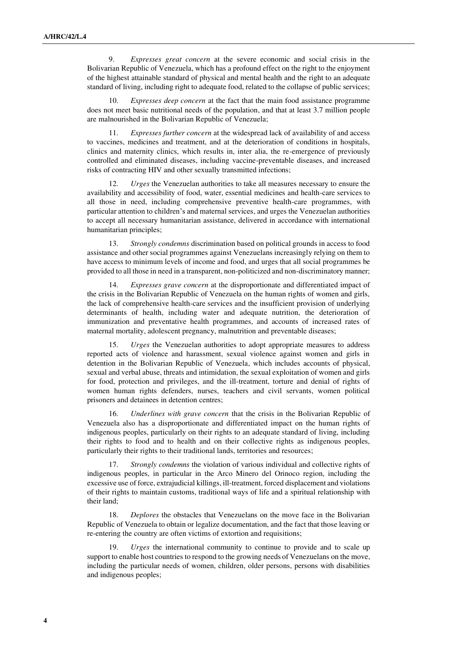9. *Expresses great concern* at the severe economic and social crisis in the Bolivarian Republic of Venezuela, which has a profound effect on the right to the enjoyment of the highest attainable standard of physical and mental health and the right to an adequate standard of living, including right to adequate food, related to the collapse of public services;

10. *Expresses deep concern* at the fact that the main food assistance programme does not meet basic nutritional needs of the population, and that at least 3.7 million people are malnourished in the Bolivarian Republic of Venezuela;

11. *Expresses further concern* at the widespread lack of availability of and access to vaccines, medicines and treatment, and at the deterioration of conditions in hospitals, clinics and maternity clinics, which results in, inter alia, the re-emergence of previously controlled and eliminated diseases, including vaccine-preventable diseases, and increased risks of contracting HIV and other sexually transmitted infections;

12. *Urges* the Venezuelan authorities to take all measures necessary to ensure the availability and accessibility of food, water, essential medicines and health-care services to all those in need, including comprehensive preventive health-care programmes, with particular attention to children's and maternal services, and urges the Venezuelan authorities to accept all necessary humanitarian assistance, delivered in accordance with international humanitarian principles;

13. *Strongly condemns* discrimination based on political grounds in access to food assistance and other social programmes against Venezuelans increasingly relying on them to have access to minimum levels of income and food, and urges that all social programmes be provided to all those in need in a transparent, non-politicized and non-discriminatory manner;

14. *Expresses grave concern* at the disproportionate and differentiated impact of the crisis in the Bolivarian Republic of Venezuela on the human rights of women and girls, the lack of comprehensive health-care services and the insufficient provision of underlying determinants of health, including water and adequate nutrition, the deterioration of immunization and preventative health programmes, and accounts of increased rates of maternal mortality, adolescent pregnancy, malnutrition and preventable diseases;

15. *Urges* the Venezuelan authorities to adopt appropriate measures to address reported acts of violence and harassment, sexual violence against women and girls in detention in the Bolivarian Republic of Venezuela, which includes accounts of physical, sexual and verbal abuse, threats and intimidation, the sexual exploitation of women and girls for food, protection and privileges, and the ill-treatment, torture and denial of rights of women human rights defenders, nurses, teachers and civil servants, women political prisoners and detainees in detention centres;

16. *Underlines with grave concern* that the crisis in the Bolivarian Republic of Venezuela also has a disproportionate and differentiated impact on the human rights of indigenous peoples, particularly on their rights to an adequate standard of living, including their rights to food and to health and on their collective rights as indigenous peoples, particularly their rights to their traditional lands, territories and resources;

17. *Strongly condemns* the violation of various individual and collective rights of indigenous peoples, in particular in the Arco Minero del Orinoco region, including the excessive use of force, extrajudicial killings, ill-treatment, forced displacement and violations of their rights to maintain customs, traditional ways of life and a spiritual relationship with their land;

18. *Deplores* the obstacles that Venezuelans on the move face in the Bolivarian Republic of Venezuela to obtain or legalize documentation, and the fact that those leaving or re-entering the country are often victims of extortion and requisitions;

19. *Urges* the international community to continue to provide and to scale up support to enable host countries to respond to the growing needs of Venezuelans on the move, including the particular needs of women, children, older persons, persons with disabilities and indigenous peoples;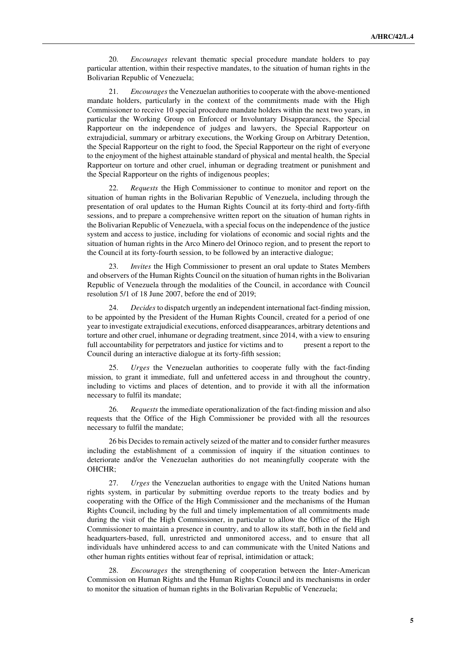20. *Encourages* relevant thematic special procedure mandate holders to pay particular attention, within their respective mandates, to the situation of human rights in the Bolivarian Republic of Venezuela;

21. *Encourages* the Venezuelan authorities to cooperate with the above-mentioned mandate holders, particularly in the context of the commitments made with the High Commissioner to receive 10 special procedure mandate holders within the next two years, in particular the Working Group on Enforced or Involuntary Disappearances, the Special Rapporteur on the independence of judges and lawyers, the Special Rapporteur on extrajudicial, summary or arbitrary executions, the Working Group on Arbitrary Detention, the Special Rapporteur on the right to food, the Special Rapporteur on the right of everyone to the enjoyment of the highest attainable standard of physical and mental health, the Special Rapporteur on torture and other cruel, inhuman or degrading treatment or punishment and the Special Rapporteur on the rights of indigenous peoples;

22. *Requests* the High Commissioner to continue to monitor and report on the situation of human rights in the Bolivarian Republic of Venezuela, including through the presentation of oral updates to the Human Rights Council at its forty-third and forty-fifth sessions, and to prepare a comprehensive written report on the situation of human rights in the Bolivarian Republic of Venezuela, with a special focus on the independence of the justice system and access to justice, including for violations of economic and social rights and the situation of human rights in the Arco Minero del Orinoco region, and to present the report to the Council at its forty-fourth session, to be followed by an interactive dialogue;

23. *Invites* the High Commissioner to present an oral update to States Members and observers of the Human Rights Council on the situation of human rights in the Bolivarian Republic of Venezuela through the modalities of the Council, in accordance with Council resolution 5/1 of 18 June 2007, before the end of 2019;

24. *Decides* to dispatch urgently an independent international fact-finding mission, to be appointed by the President of the Human Rights Council, created for a period of one year to investigate extrajudicial executions, enforced disappearances, arbitrary detentions and torture and other cruel, inhumane or degrading treatment, since 2014, with a view to ensuring full accountability for perpetrators and justice for victims and to present a report to the Council during an interactive dialogue at its forty-fifth session;

25. *Urges* the Venezuelan authorities to cooperate fully with the fact-finding mission, to grant it immediate, full and unfettered access in and throughout the country, including to victims and places of detention, and to provide it with all the information necessary to fulfil its mandate;

26. *Requests* the immediate operationalization of the fact-finding mission and also requests that the Office of the High Commissioner be provided with all the resources necessary to fulfil the mandate;

26 bis Decides to remain actively seized of the matter and to consider further measures including the establishment of a commission of inquiry if the situation continues to deteriorate and/or the Venezuelan authorities do not meaningfully cooperate with the OHCHR;

27. *Urges* the Venezuelan authorities to engage with the United Nations human rights system, in particular by submitting overdue reports to the treaty bodies and by cooperating with the Office of the High Commissioner and the mechanisms of the Human Rights Council, including by the full and timely implementation of all commitments made during the visit of the High Commissioner, in particular to allow the Office of the High Commissioner to maintain a presence in country, and to allow its staff, both in the field and headquarters-based, full, unrestricted and unmonitored access, and to ensure that all individuals have unhindered access to and can communicate with the United Nations and other human rights entities without fear of reprisal, intimidation or attack;

28. *Encourages* the strengthening of cooperation between the Inter-American Commission on Human Rights and the Human Rights Council and its mechanisms in order to monitor the situation of human rights in the Bolivarian Republic of Venezuela;